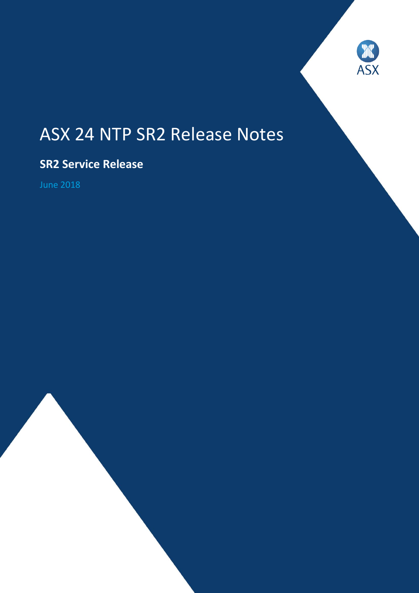

# ASX 24 NTP SR2 Release Notes

# **SR2 Service Release**

June 2018

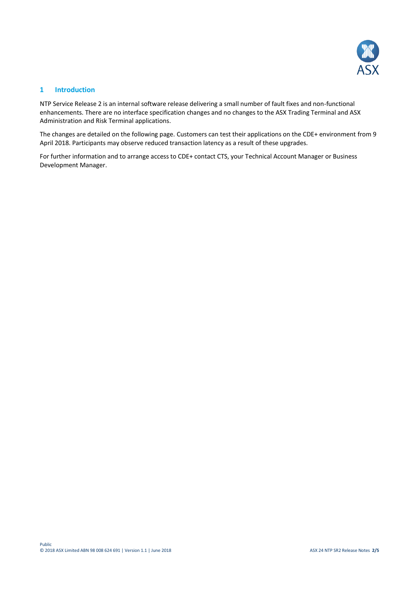

### **1 Introduction**

NTP Service Release 2 is an internal software release delivering a small number of fault fixes and non-functional enhancements. There are no interface specification changes and no changes to the ASX Trading Terminal and ASX Administration and Risk Terminal applications.

The changes are detailed on the following page. Customers can test their applications on the CDE+ environment from 9 April 2018. Participants may observe reduced transaction latency as a result of these upgrades.

For further information and to arrange access to CDE+ contact CTS, your Technical Account Manager or Business Development Manager.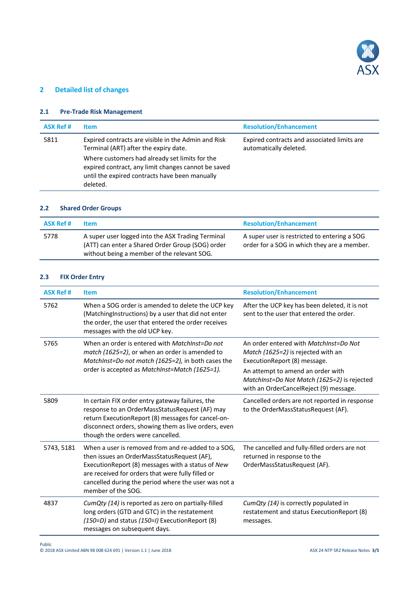

## **2 Detailed list of changes**

#### **2.1 Pre-Trade Risk Management**

| <b>ASX Ref #</b> | <b>Item</b>                                                                                                                                                         | <b>Resolution/Enhancement</b>                                         |
|------------------|---------------------------------------------------------------------------------------------------------------------------------------------------------------------|-----------------------------------------------------------------------|
| 5811             | Expired contracts are visible in the Admin and Risk<br>Terminal (ART) after the expiry date.                                                                        | Expired contracts and associated limits are<br>automatically deleted. |
|                  | Where customers had already set limits for the<br>expired contract, any limit changes cannot be saved<br>until the expired contracts have been manually<br>deleted. |                                                                       |

#### **2.2 Shared Order Groups**

| <b>ASX Ref #</b> | ltem.                                                                                                                                                | <b>Resolution/Enhancement</b>                                                               |
|------------------|------------------------------------------------------------------------------------------------------------------------------------------------------|---------------------------------------------------------------------------------------------|
| 5778             | A super user logged into the ASX Trading Terminal<br>(ATT) can enter a Shared Order Group (SOG) order<br>without being a member of the relevant SOG. | A super user is restricted to entering a SOG<br>order for a SOG in which they are a member. |

#### **2.3 FIX Order Entry**

| <b>ASX Ref#</b> | <b>Item</b>                                                                                                                                                                                                                                                                               | <b>Resolution/Enhancement</b>                                                                                              |
|-----------------|-------------------------------------------------------------------------------------------------------------------------------------------------------------------------------------------------------------------------------------------------------------------------------------------|----------------------------------------------------------------------------------------------------------------------------|
| 5762            | When a SOG order is amended to delete the UCP key<br>(MatchingInstructions) by a user that did not enter<br>the order, the user that entered the order receives<br>messages with the old UCP key.                                                                                         | After the UCP key has been deleted, it is not<br>sent to the user that entered the order.                                  |
| 5765            | When an order is entered with MatchInst=Do not<br>match (1625=2), or when an order is amended to<br>MatchInst=Do not match (1625=2), in both cases the<br>order is accepted as MatchInst=Match (1625=1).                                                                                  | An order entered with MatchInst=Do Not<br>Match (1625=2) is rejected with an<br>ExecutionReport (8) message.               |
|                 |                                                                                                                                                                                                                                                                                           | An attempt to amend an order with<br>MatchInst=Do Not Match (1625=2) is rejected<br>with an OrderCancelReject (9) message. |
| 5809            | In certain FIX order entry gateway failures, the<br>response to an OrderMassStatusRequest (AF) may<br>return ExecutionReport (8) messages for cancel-on-<br>disconnect orders, showing them as live orders, even<br>though the orders were cancelled.                                     | Cancelled orders are not reported in response<br>to the OrderMassStatusRequest (AF).                                       |
| 5743, 5181      | When a user is removed from and re-added to a SOG,<br>then issues an OrderMassStatusRequest (AF),<br>ExecutionReport (8) messages with a status of New<br>are received for orders that were fully filled or<br>cancelled during the period where the user was not a<br>member of the SOG. | The cancelled and fully-filled orders are not<br>returned in response to the<br>OrderMassStatusRequest (AF).               |
| 4837            | CumQty (14) is reported as zero on partially-filled<br>long orders (GTD and GTC) in the restatement<br>(150=D) and status (150=I) ExecutionReport (8)<br>messages on subsequent days.                                                                                                     | CumQty (14) is correctly populated in<br>restatement and status ExecutionReport (8)<br>messages.                           |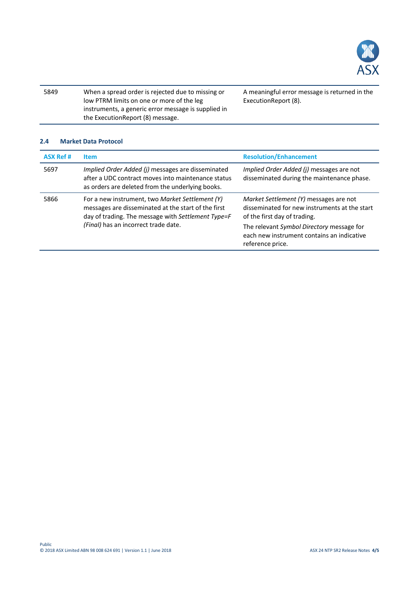

| 5849 | When a spread order is rejected due to missing or   |
|------|-----------------------------------------------------|
|      | low PTRM limits on one or more of the leg           |
|      | instruments, a generic error message is supplied in |
|      | the ExecutionReport (8) message.                    |

A meaningful error message is returned in the ExecutionReport (8).

#### **2.4 Market Data Protocol**

| <b>ASX Ref #</b> | <b>Item</b>                                                                                                                                                                                          | <b>Resolution/Enhancement</b>                                                                                           |
|------------------|------------------------------------------------------------------------------------------------------------------------------------------------------------------------------------------------------|-------------------------------------------------------------------------------------------------------------------------|
| 5697             | Implied Order Added (j) messages are disseminated<br>after a UDC contract moves into maintenance status<br>as orders are deleted from the underlying books.                                          | Implied Order Added (j) messages are not<br>disseminated during the maintenance phase.                                  |
| 5866             | For a new instrument, two Market Settlement (Y)<br>messages are disseminated at the start of the first<br>day of trading. The message with Settlement Type=F<br>(Final) has an incorrect trade date. | Market Settlement (Y) messages are not<br>disseminated for new instruments at the start<br>of the first day of trading. |
|                  |                                                                                                                                                                                                      | The relevant Symbol Directory message for<br>each new instrument contains an indicative<br>reference price.             |